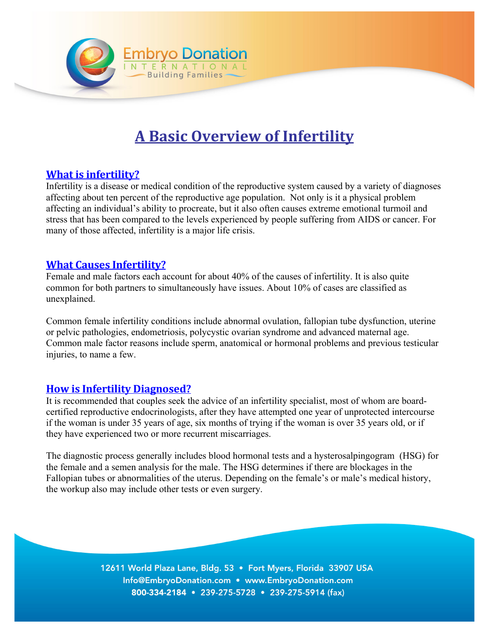

# **A Basic Overview of Infertility**

## **What is infertility?**

Infertility is a disease or medical condition of the reproductive system caused by a variety of diagnoses affecting about ten percent of the reproductive age population. Not only is it a physical problem affecting an individual's ability to procreate, but it also often causes extreme emotional turmoil and stress that has been compared to the levels experienced by people suffering from AIDS or cancer. For many of those affected, infertility is a major life crisis.

#### **What Causes Infertility?**

Female and male factors each account for about 40% of the causes of infertility. It is also quite common for both partners to simultaneously have issues. About 10% of cases are classified as unexplained.

Common female infertility conditions include abnormal ovulation, fallopian tube dysfunction, uterine or pelvic pathologies, endometriosis, polycystic ovarian syndrome and advanced maternal age. Common male factor reasons include sperm, anatomical or hormonal problems and previous testicular injuries, to name a few.

#### **How is Infertility Diagnosed?**

It is recommended that couples seek the advice of an infertility specialist, most of whom are boardcertified reproductive endocrinologists, after they have attempted one year of unprotected intercourse if the woman is under 35 years of age, six months of trying if the woman is over 35 years old, or if they have experienced two or more recurrent miscarriages.

The diagnostic process generally includes blood hormonal tests and a hysterosalpingogram (HSG) for the female and a semen analysis for the male. The HSG determines if there are blockages in the Fallopian tubes or abnormalities of the uterus. Depending on the female's or male's medical history, the workup also may include other tests or even surgery.

> 12611 World Plaza Lane, Bldg. 53 . Fort Myers, Florida 33907 USA Info@EmbryoDonation.com • www.EmbryoDonation.com 800-334-2184 • 239-275-5728 • 239-275-5914 (fax)